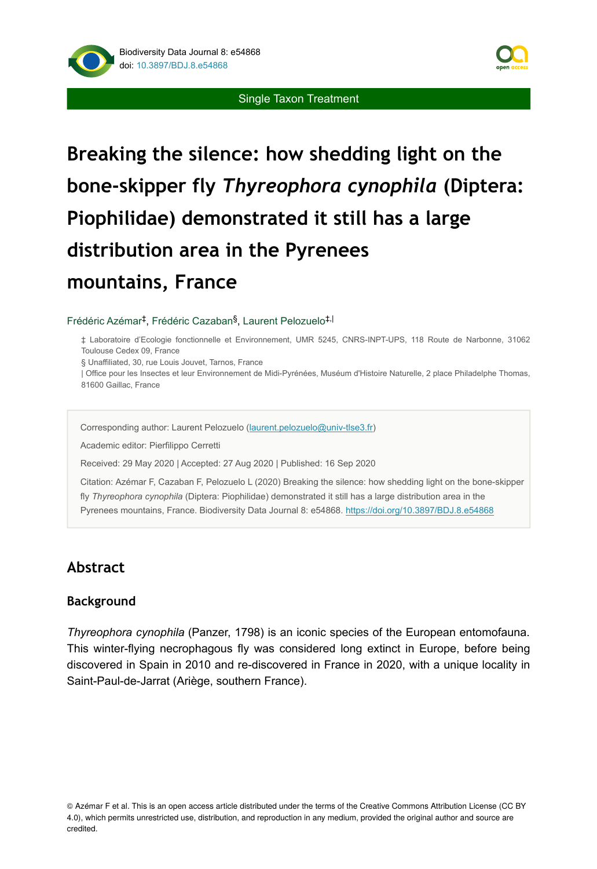

#### Single Taxon Treatment

# **Breaking the silence: how shedding light on the bone-skipper fly** *Thyreophora cynophila* **(Diptera: Piophilidae) demonstrated it still has a large distribution area in the Pyrenees mountains, France**

#### Frédéric Azémar<sup>‡</sup>, Frédéric Cazaban<sup>§</sup>, Laurent Pelozuelo<sup>‡,|</sup>

‡ Laboratoire d'Ecologie fonctionnelle et Environnement, UMR 5245, CNRS-INPT-UPS, 118 Route de Narbonne, 31062 Toulouse Cedex 09, France

§ Unaffiliated, 30, rue Louis Jouvet, Tarnos, France

| Office pour les Insectes et leur Environnement de Midi-Pyrénées, Muséum d'Histoire Naturelle, 2 place Philadelphe Thomas, 81600 Gaillac, France

Corresponding author: Laurent Pelozuelo [\(laurent.pelozuelo@univ-tlse3.fr\)](mailto:laurent.pelozuelo@univ-tlse3.fr)

Academic editor: Pierfilippo Cerretti

Received: 29 May 2020 | Accepted: 27 Aug 2020 | Published: 16 Sep 2020

Citation: Azémar F, Cazaban F, Pelozuelo L (2020) Breaking the silence: how shedding light on the bone-skipper fly *Thyreophora cynophila* (Diptera: Piophilidae) demonstrated it still has a large distribution area in the Pyrenees mountains, France. Biodiversity Data Journal 8: e54868. <https://doi.org/10.3897/BDJ.8.e54868>

# **Abstract**

#### **Background**

*Thyreophora cynophila* (Panzer, 1798) is an iconic species of the European entomofauna. This winter-flying necrophagous fly was considered long extinct in Europe, before being discovered in Spain in 2010 and re-discovered in France in 2020, with a unique locality in Saint-Paul-de-Jarrat (Ariège, southern France).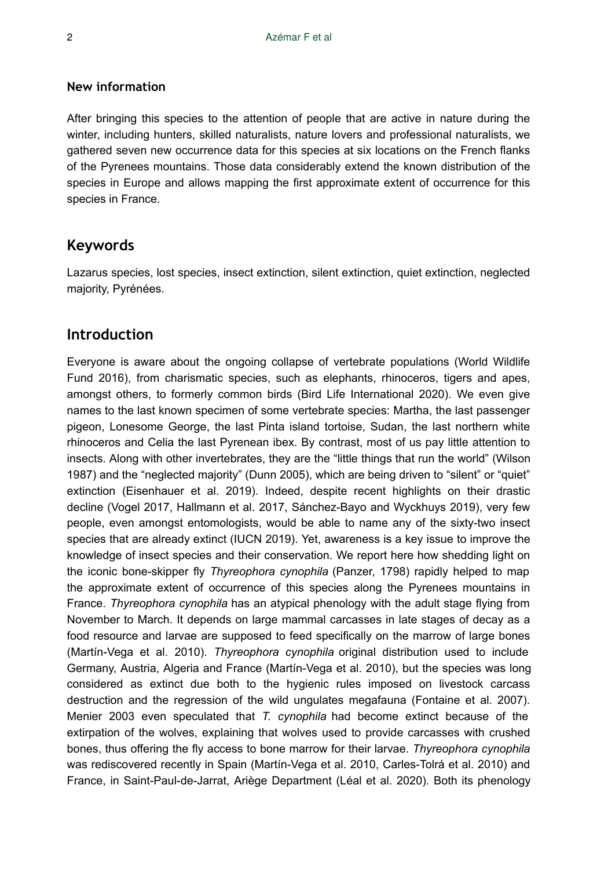#### **New information**

After bringing this species to the attention of people that are active in nature during the winter, including hunters, skilled naturalists, nature lovers and professional naturalists, we gathered seven new occurrence data for this species at six locations on the French flanks of the Pyrenees mountains. Those data considerably extend the known distribution of the species in Europe and allows mapping the first approximate extent of occurrence for this species in France.

## **Keywords**

Lazarus species, lost species, insect extinction, silent extinction, quiet extinction, neglected majority, Pyrénées.

### **Introduction**

Everyone is aware about the ongoing collapse of vertebrate populations (World Wildlife Fund 2016), from charismatic species, such as elephants, rhinoceros, tigers and apes, amongst others, to formerly common birds (Bird Life International 2020). We even give names to the last known specimen of some vertebrate species: Martha, the last passenger pigeon, Lonesome George, the last Pinta island tortoise, Sudan, the last northern white rhinoceros and Celia the last Pyrenean ibex. By contrast, most of us pay little attention to insects. Along with other invertebrates, they are the "little things that run the world" (Wilson 1987) and the "neglected majority" (Dunn 2005), which are being driven to "silent" or "quiet" extinction (Eisenhauer et al. 2019). Indeed, despite recent highlights on their drastic decline (Vogel 2017, Hallmann et al. 2017, Sánchez-Bayo and Wyckhuys 2019), very few people, even amongst entomologists, would be able to name any of the sixty-two insect species that are already extinct (IUCN 2019). Yet, awareness is a key issue to improve the knowledge of insect species and their conservation. We report here how shedding light on the iconic bone-skipper fly *Thyreophora cynophila* (Panzer, 1798) rapidly helped to map the approximate extent of occurrence of this species along the Pyrenees mountains in France. *Thyreophora cynophila* has an atypical phenology with the adult stage flying from November to March. It depends on large mammal carcasses in late stages of decay as a food resource and larvae are supposed to feed specifically on the marrow of large bones (Martín-Vega et al. 2010). *Thyreophora cynophila* original distribution used to include Germany, Austria, Algeria and France (Martín-Vega et al. 2010), but the species was long considered as extinct due both to the hygienic rules imposed on livestock carcass destruction and the regression of the wild ungulates megafauna (Fontaine et al. 2007). Menier 2003 even speculated that *T. cynophila* had become extinct because of the extirpation of the wolves, explaining that wolves used to provide carcasses with crushed bones, thus offering the fly access to bone marrow for their larvae. *Thyreophora cynophila* was rediscovered recently in Spain (Martín-Vega et al. 2010, Carles-Tolrá et al. 2010) and France, in Saint-Paul-de-Jarrat, Ariège Department (Léal et al. 2020). Both its phenology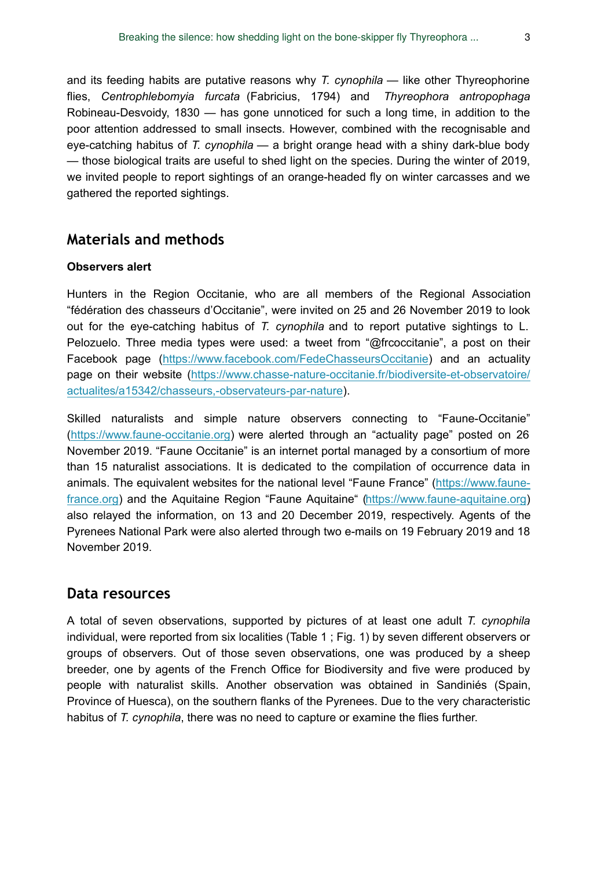and its feeding habits are putative reasons why *T. cynophila* — like other Thyreophorine flies, *Centrophlebomyia furcata* (Fabricius, 1794) and *Thyreophora antropophaga* Robineau-Desvoidy, 1830 — has gone unnoticed for such a long time, in addition to the poor attention addressed to small insects. However, combined with the recognisable and eye-catching habitus of *T. cynophila* — a bright orange head with a shiny dark-blue body — those biological traits are useful to shed light on the species. During the winter of 2019, we invited people to report sightings of an orange-headed fly on winter carcasses and we gathered the reported sightings.

## **Materials and methods**

#### **Observers alert**

Hunters in the Region Occitanie, who are all members of the Regional Association "fédération des chasseurs d'Occitanie", were invited on 25 and 26 November 2019 to look out for the eye-catching habitus of *T. cynophila* and to report putative sightings to L. Pelozuelo. Three media types were used: a tweet from "@frcoccitanie", a post on their Facebook page [\(https://www.facebook.com/FedeChasseursOccitanie\)](https://www.facebook.com/FedeChasseursOccitanie) and an actuality page on their website ([https://www.chasse-nature-occitanie.fr/biodiversite-et-observatoire/](https://www.chasse-nature-occitanie.fr/biodiversite-et-observatoire/actualites/a15342/chasseurs,-observateurs-par-nature-) [actualites/a15342/chasseurs,-observateurs-par-nature\)](https://www.chasse-nature-occitanie.fr/biodiversite-et-observatoire/actualites/a15342/chasseurs,-observateurs-par-nature-).

Skilled naturalists and simple nature observers connecting to "Faune-Occitanie" [\(https://www.faune-occitanie.org\)](https://www.faune-occitanie.org) were alerted through an "actuality page" posted on 26 November 2019. "Faune Occitanie" is an internet portal managed by a consortium of more than 15 naturalist associations. It is dedicated to the compilation of occurrence data in animals. The equivalent websites for the national level "Faune France" [\(https://www.faune](https://www.faune-france.org)[france.org\)](https://www.faune-france.org) and the Aquitaine Region "Faune Aquitaine" [\(https://www.faune-aquitaine.org](https://www.faune-france.org)) also relayed the information, on 13 and 20 December 2019, respectively. Agents of the Pyrenees National Park were also alerted through two e-mails on 19 February 2019 and 18 November 2019.

#### **Data resources**

A total of seven observations, supported by pictures of at least one adult *T. cynophila* individual, were reported from six localities (Table 1 ; Fig. 1) by seven different observers or groups of observers. Out of those seven observations, one was produced by a sheep breeder, one by agents of the French Office for Biodiversity and five were produced by people with naturalist skills. Another observation was obtained in Sandiniés (Spain, Province of Huesca), on the southern flanks of the Pyrenees. Due to the very characteristic habitus of *T. cynophila*, there was no need to capture or examine the flies further.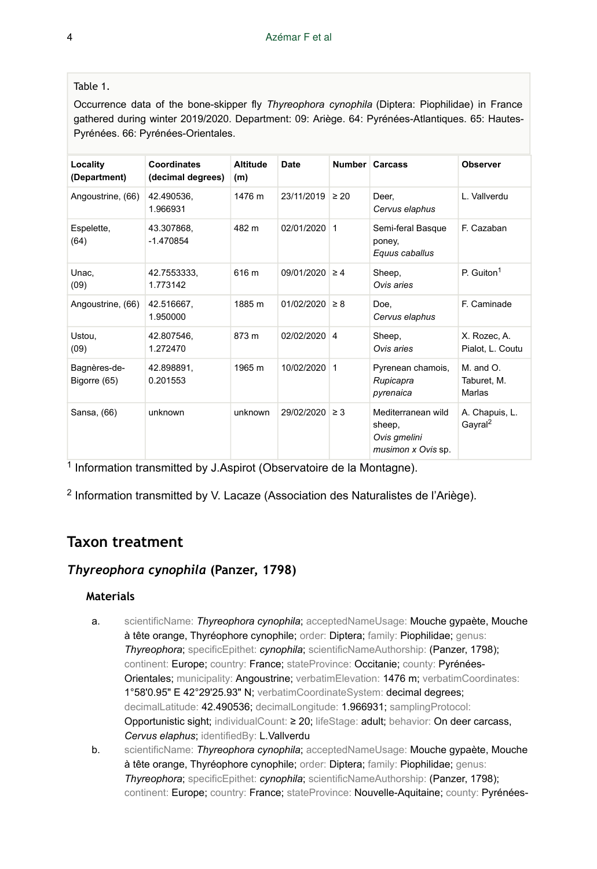#### Table 1.

Occurrence data of the bone-skipper fly *Thyreophora cynophila* (Diptera: Piophilidae) in France gathered during winter 2019/2020. Department: 09: Ariège. 64: Pyrénées-Atlantiques. 65: Hautes-Pyrénées. 66: Pyrénées-Orientales.

| Locality<br>(Department)     | <b>Coordinates</b><br>(decimal degrees) | <b>Altitude</b><br>(m) | Date         |           | Number Carcass                                                     | <b>Observer</b>                        |
|------------------------------|-----------------------------------------|------------------------|--------------|-----------|--------------------------------------------------------------------|----------------------------------------|
| Angoustrine, (66)            | 42.490536.<br>1.966931                  | 1476 m                 | 23/11/2019   | $\geq 20$ | Deer.<br>Cervus elaphus                                            | L. Vallverdu                           |
| Espelette,<br>(64)           | 43.307868,<br>$-1.470854$               | 482 m                  | 02/01/2020 1 |           | Semi-feral Basque<br>poney,<br>Equus caballus                      | F. Cazaban                             |
| Unac.<br>(09)                | 42.7553333,<br>1.773142                 | 616 m                  | 09/01/2020   | $\geq 4$  | Sheep,<br>Ovis aries                                               | P. Guiton <sup>1</sup>                 |
| Angoustrine, (66)            | 42.516667,<br>1.950000                  | 1885 m                 | 01/02/2020   | $\geq 8$  | Doe.<br>Cervus elaphus                                             | F. Caminade                            |
| Ustou.<br>(09)               | 42.807546,<br>1.272470                  | 873 m                  | 02/02/2020 4 |           | Sheep,<br>Ovis aries                                               | X. Rozec, A.<br>Pialot, L. Coutu       |
| Bagnères-de-<br>Bigorre (65) | 42.898891,<br>0.201553                  | 1965 m                 | 10/02/2020 1 |           | Pyrenean chamois,<br>Rupicapra<br>pyrenaica                        | $M.$ and $O.$<br>Taburet, M.<br>Marlas |
| Sansa, (66)                  | unknown                                 | unknown                | 29/02/2020   | $\geq$ 3  | Mediterranean wild<br>sheep,<br>Ovis gmelini<br>musimon x Ovis sp. | A. Chapuis, L.<br>Gayral <sup>2</sup>  |

 $1$  Information transmitted by J. Aspirot (Observatoire de la Montagne).

 $2$  Information transmitted by V. Lacaze (Association des Naturalistes de l'Ariège).

# **Taxon treatment**

#### *Thyreophora cynophila* **(Panzer, 1798)**

#### **Materials**

- a. scientificName: *Thyreophora cynophila*; acceptedNameUsage: Mouche gypaète, Mouche à tête orange, Thyréophore cynophile; order: Diptera; family: Piophilidae; genus: *Thyreophora*; specificEpithet: *cynophila*; scientificNameAuthorship: (Panzer, 1798); continent: Europe; country: France; stateProvince: Occitanie; county: Pyrénées-Orientales; municipality: Angoustrine; verbatimElevation: 1476 m; verbatimCoordinates: 1°58'0.95" E 42°29'25.93" N; verbatimCoordinateSystem: decimal degrees; decimalLatitude: 42.490536; decimalLongitude: 1.966931; samplingProtocol: Opportunistic sight; individualCount: ≥ 20; lifeStage: adult; behavior: On deer carcass, *Cervus elaphus*; identifiedBy: L.Vallverdu
- b. scientificName: *Thyreophora cynophila*; acceptedNameUsage: Mouche gypaète, Mouche à tête orange, Thyréophore cynophile; order: Diptera; family: Piophilidae; genus: *Thyreophora*; specificEpithet: *cynophila*; scientificNameAuthorship: (Panzer, 1798); continent: Europe; country: France; stateProvince: Nouvelle-Aquitaine; county: Pyrénées-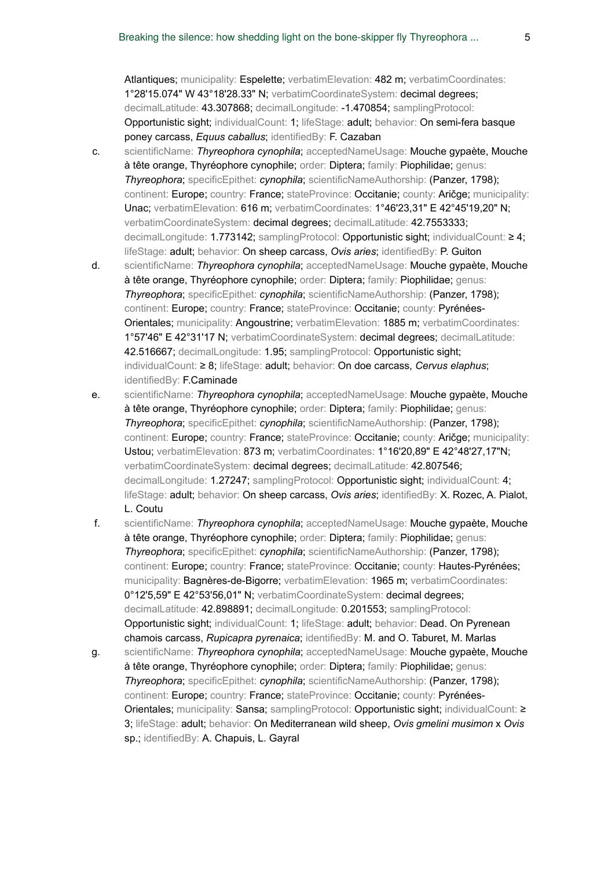Atlantiques; municipality: Espelette; verbatimElevation: 482 m; verbatimCoordinates: 1°28'15.074" W 43°18'28.33" N; verbatimCoordinateSystem: decimal degrees; decimalLatitude: 43.307868; decimalLongitude: -1.470854; samplingProtocol: Opportunistic sight; individualCount: 1; lifeStage: adult; behavior: On semi-fera basque poney carcass, *Equus caballus*; identifiedBy: F. Cazaban

- c. scientificName: *Thyreophora cynophila*; acceptedNameUsage: Mouche gypaète, Mouche à tête orange, Thyréophore cynophile; order: Diptera; family: Piophilidae; genus: *Thyreophora*; specificEpithet: *cynophila*; scientificNameAuthorship: (Panzer, 1798); continent: Europe; country: France; stateProvince: Occitanie; county: Aričge; municipality: Unac; verbatimElevation: 616 m; verbatimCoordinates: 1°46'23,31" E 42°45'19,20" N; verbatimCoordinateSystem: decimal degrees; decimalLatitude: 42.7553333; decimalLongitude: 1.773142; samplingProtocol: Opportunistic sight; individualCount: ≥ 4; lifeStage: adult; behavior: On sheep carcass, *Ovis aries*; identifiedBy: P. Guiton
- d. scientificName: *Thyreophora cynophila*; acceptedNameUsage: Mouche gypaète, Mouche à tête orange, Thyréophore cynophile; order: Diptera; family: Piophilidae; genus: *Thyreophora*; specificEpithet: *cynophila*; scientificNameAuthorship: (Panzer, 1798); continent: Europe; country: France; stateProvince: Occitanie; county: Pyrénées-Orientales; municipality: Angoustrine; verbatimElevation: 1885 m; verbatimCoordinates: 1°57'46" E 42°31'17 N; verbatimCoordinateSystem: decimal degrees; decimalLatitude: 42.516667; decimalLongitude: 1.95; samplingProtocol: Opportunistic sight; individualCount: ≥ 8; lifeStage: adult; behavior: On doe carcass, *Cervus elaphus*; identifiedBy: F.Caminade
- e. scientificName: *Thyreophora cynophila*; acceptedNameUsage: Mouche gypaète, Mouche à tête orange, Thyréophore cynophile; order: Diptera; family: Piophilidae; genus: *Thyreophora*; specificEpithet: *cynophila*; scientificNameAuthorship: (Panzer, 1798); continent: Europe; country: France; stateProvince: Occitanie; county: Aričge; municipality: Ustou; verbatimElevation: 873 m; verbatimCoordinates: 1°16'20,89" E 42°48'27,17"N; verbatimCoordinateSystem: decimal degrees; decimalLatitude: 42.807546; decimalLongitude: 1.27247; samplingProtocol: Opportunistic sight; individualCount: 4; lifeStage: adult; behavior: On sheep carcass, *Ovis aries*; identifiedBy: X. Rozec, A. Pialot, L. Coutu
- f. scientificName: *Thyreophora cynophila*; acceptedNameUsage: Mouche gypaète, Mouche à tête orange, Thyréophore cynophile; order: Diptera; family: Piophilidae; genus: *Thyreophora*; specificEpithet: *cynophila*; scientificNameAuthorship: (Panzer, 1798); continent: Europe; country: France; stateProvince: Occitanie; county: Hautes-Pyrénées; municipality: Bagnères-de-Bigorre; verbatimElevation: 1965 m; verbatimCoordinates: 0°12'5,59" E 42°53'56,01" N; verbatimCoordinateSystem: decimal degrees; decimalLatitude: 42.898891; decimalLongitude: 0.201553; samplingProtocol: Opportunistic sight; individualCount: 1; lifeStage: adult; behavior: Dead. On Pyrenean chamois carcass, *Rupicapra pyrenaica*; identifiedBy: M. and O. Taburet, M. Marlas
- g. scientificName: *Thyreophora cynophila*; acceptedNameUsage: Mouche gypaète, Mouche à tête orange, Thyréophore cynophile; order: Diptera; family: Piophilidae; genus: *Thyreophora*; specificEpithet: *cynophila*; scientificNameAuthorship: (Panzer, 1798); continent: Europe; country: France; stateProvince: Occitanie; county: Pyrénées-Orientales; municipality: Sansa; samplingProtocol: Opportunistic sight; individualCount: ≥ 3; lifeStage: adult; behavior: On Mediterranean wild sheep, *Ovis gmelini musimon* x *Ovis* sp.; identifiedBy: A. Chapuis, L. Gayral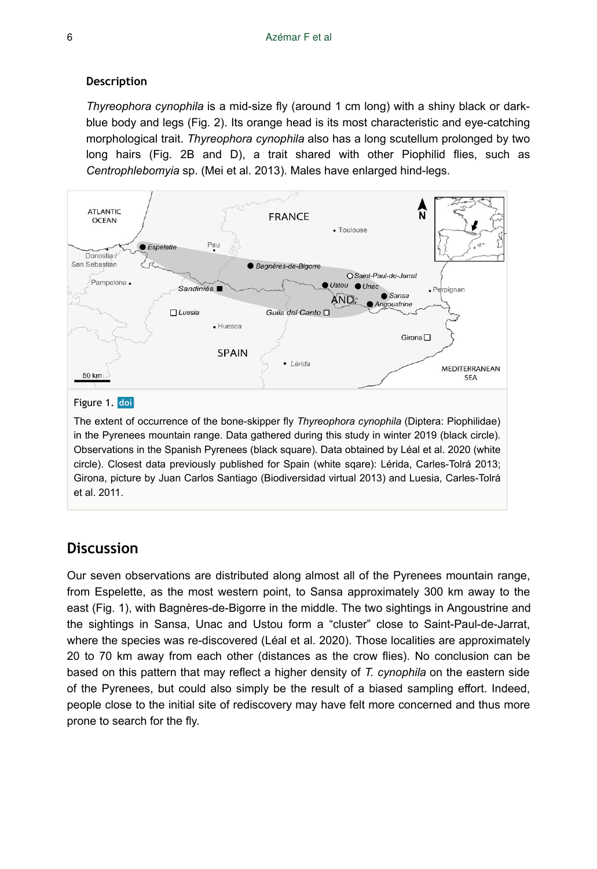#### **Description**

*Thyreophora cynophila* is a mid-size fly (around 1 cm long) with a shiny black or darkblue body and legs (Fig. 2). Its orange head is its most characteristic and eye-catching morphological trait. *Thyreophora cynophila* also has a long scutellum prolonged by two long hairs (Fig. 2B and D), a trait shared with other Piophilid flies, such as *Centrophlebomyia* sp. (Mei et al. 2013). Males have enlarged hind-legs.



The extent of occurrence of the bone-skipper fly *Thyreophora cynophila* (Diptera: Piophilidae) in the Pyrenees mountain range. Data gathered during this study in winter 2019 (black circle). Observations in the Spanish Pyrenees (black square). Data obtained by Léal et al. 2020 (white circle). Closest data previously published for Spain (white sqare): Lérida, Carles-Tolrá 2013; Girona, picture by Juan Carlos Santiago (Biodiversidad virtual 2013) and Luesia, Carles-Tolrá et al. 2011.

# **Discussion**

Our seven observations are distributed along almost all of the Pyrenees mountain range, from Espelette, as the most western point, to Sansa approximately 300 km away to the east (Fig. 1), with Bagnères-de-Bigorre in the middle. The two sightings in Angoustrine and the sightings in Sansa, Unac and Ustou form a "cluster" close to Saint-Paul-de-Jarrat, where the species was re-discovered (Léal et al. 2020). Those localities are approximately 20 to 70 km away from each other (distances as the crow flies). No conclusion can be based on this pattern that may reflect a higher density of *T. cynophila* on the eastern side of the Pyrenees, but could also simply be the result of a biased sampling effort. Indeed, people close to the initial site of rediscovery may have felt more concerned and thus more prone to search for the fly.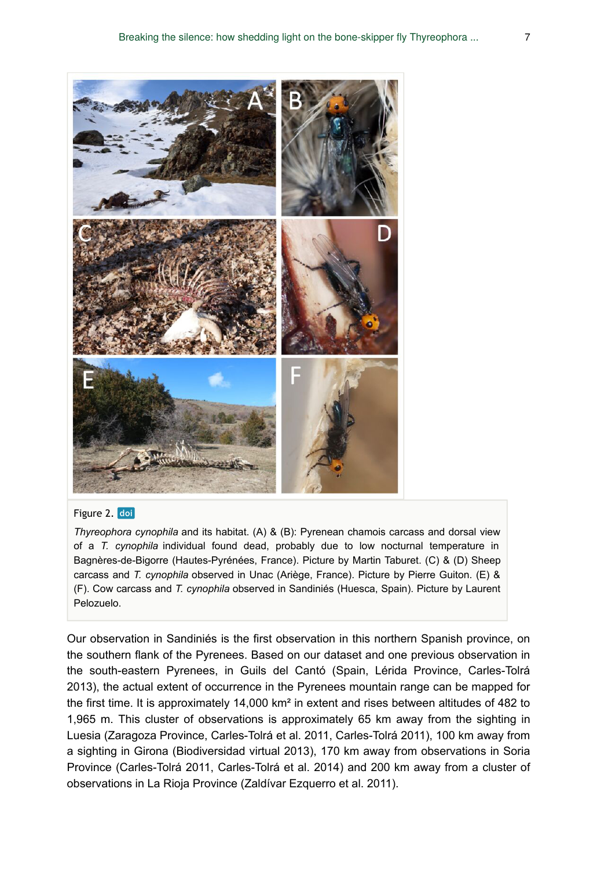

#### Figure 2. doi

*Thyreophora cynophila* and its habitat. (A) & (B): Pyrenean chamois carcass and dorsal view of a *T. cynophila* individual found dead, probably due to low nocturnal temperature in Bagnères-de-Bigorre (Hautes-Pyrénées, France). Picture by Martin Taburet. (C) & (D) Sheep carcass and *T. cynophila* observed in Unac (Ariège, France). Picture by Pierre Guiton. (E) & (F). Cow carcass and *T. cynophila* observed in Sandiniés (Huesca, Spain). Picture by Laurent Pelozuelo.

Our observation in Sandiniés is the first observation in this northern Spanish province, on the southern flank of the Pyrenees. Based on our dataset and one previous observation in the south-eastern Pyrenees, in Guils del Cantó (Spain, Lérida Province, Carles-Tolrá 2013), the actual extent of occurrence in the Pyrenees mountain range can be mapped for the first time. It is approximately 14,000 km² in extent and rises between altitudes of 482 to 1,965 m. This cluster of observations is approximately 65 km away from the sighting in Luesia (Zaragoza Province, Carles-Tolrá et al. 2011, Carles-Tolrá 2011), 100 km away from a sighting in Girona (Biodiversidad virtual 2013), 170 km away from observations in Soria Province (Carles-Tolrá 2011, Carles-Tolrá et al. 2014) and 200 km away from a cluster of observations in La Rioja Province (Zaldívar Ezquerro et al. 2011).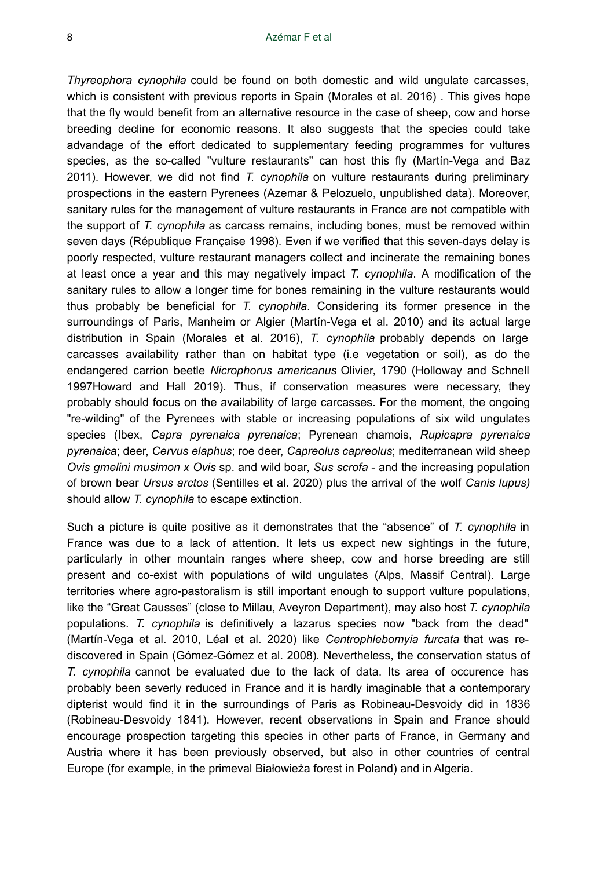*Thyreophora cynophila* could be found on both domestic and wild ungulate carcasses, which is consistent with previous reports in Spain (Morales et al. 2016) . This gives hope that the fly would benefit from an alternative resource in the case of sheep, cow and horse breeding decline for economic reasons. It also suggests that the species could take advandage of the effort dedicated to supplementary feeding programmes for vultures species, as the so-called "vulture restaurants" can host this fly (Martín-Vega and Baz 2011). However, we did not find *T. cynophila* on vulture restaurants during preliminary prospections in the eastern Pyrenees (Azemar & Pelozuelo, unpublished data). Moreover, sanitary rules for the management of vulture restaurants in France are not compatible with the support of *T. cynophila* as carcass remains, including bones, must be removed within seven days (République Française 1998). Even if we verified that this seven-days delay is poorly respected, vulture restaurant managers collect and incinerate the remaining bones at least once a year and this may negatively impact *T. cynophila*. A modification of the sanitary rules to allow a longer time for bones remaining in the vulture restaurants would thus probably be beneficial for *T. cynophila*. Considering its former presence in the surroundings of Paris, Manheim or Algier (Martín-Vega et al. 2010) and its actual large distribution in Spain (Morales et al. 2016), *T. cynophila* probably depends on large carcasses availability rather than on habitat type (i.e vegetation or soil), as do the endangered carrion beetle *Nicrophorus americanus* Olivier, 1790 (Holloway and Schnell 1997Howard and Hall 2019). Thus, if conservation measures were necessary, they probably should focus on the availability of large carcasses. For the moment, the ongoing "re-wilding" of the Pyrenees with stable or increasing populations of six wild ungulates species (Ibex, *Capra pyrenaica pyrenaica*; Pyrenean chamois, *Rupicapra pyrenaica pyrenaica*; deer, *Cervus elaphus*; roe deer, *Capreolus capreolus*; mediterranean wild sheep *Ovis gmelini musimon x Ovis* sp. and wild boar, *Sus scrofa* - and the increasing population of brown bear *Ursus arctos* (Sentilles et al. 2020) plus the arrival of the wolf *Canis lupus)* should allow *T. cynophila* to escape extinction.

Such a picture is quite positive as it demonstrates that the "absence" of *T. cynophila* in France was due to a lack of attention. It lets us expect new sightings in the future, particularly in other mountain ranges where sheep, cow and horse breeding are still present and co-exist with populations of wild ungulates (Alps, Massif Central). Large territories where agro-pastoralism is still important enough to support vulture populations, like the "Great Causses" (close to Millau, Aveyron Department), may also host *T. cynophila* populations. *T. cynophila* is definitively a lazarus species now "back from the dead" (Martín-Vega et al. 2010, Léal et al. 2020) like *Centrophlebomyia furcata* that was rediscovered in Spain (Gómez-Gómez et al. 2008). Nevertheless, the conservation status of *T. cynophila* cannot be evaluated due to the lack of data. Its area of occurence has probably been severly reduced in France and it is hardly imaginable that a contemporary dipterist would find it in the surroundings of Paris as Robineau-Desvoidy did in 1836 (Robineau-Desvoidy 1841). However, recent observations in Spain and France should encourage prospection targeting this species in other parts of France, in Germany and Austria where it has been previously observed, but also in other countries of central Europe (for example, in the primeval Białowieża forest in Poland) and in Algeria.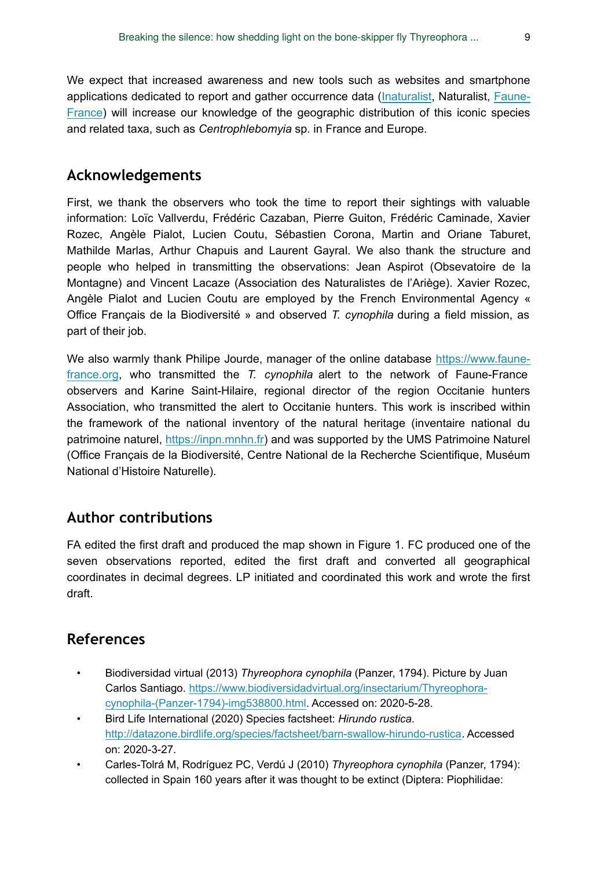We expect that increased awareness and new tools such as websites and smartphone applications dedicated to report and gather occurrence data ([Inaturalist,](https://www.inaturalist.org/) Naturalist, [Faune-](https://www.faune-france.org/)[France](https://www.faune-france.org/)) will increase our knowledge of the geographic distribution of this iconic species and related taxa, such as *Centrophlebomyia* sp. in France and Europe.

## **Acknowledgements**

First, we thank the observers who took the time to report their sightings with valuable information: Loïc Vallverdu, Frédéric Cazaban, Pierre Guiton, Frédéric Caminade, Xavier Rozec, Angèle Pialot, Lucien Coutu, Sébastien Corona, Martin and Oriane Taburet, Mathilde Marlas, Arthur Chapuis and Laurent Gayral. We also thank the structure and people who helped in transmitting the observations: Jean Aspirot (Obsevatoire de la Montagne) and Vincent Lacaze (Association des Naturalistes de l'Ariège). Xavier Rozec, Angèle Pialot and Lucien Coutu are employed by the French Environmental Agency « Office Français de la Biodiversité » and observed *T. cynophila* during a field mission, as part of their job.

We also warmly thank Philipe Jourde, manager of the online database [https://www.faune](https://www.faune-france.org)[france.org,](https://www.faune-france.org) who transmitted the *T. cynophila* alert to the network of Faune-France observers and Karine Saint-Hilaire, regional director of the region Occitanie hunters Association, who transmitted the alert to Occitanie hunters. This work is inscribed within the framework of the national inventory of the natural heritage (inventaire national du patrimoine naturel, [https://inpn.mnhn.fr\)](https://inpn.mnhn.fr) and was supported by the UMS Patrimoine Naturel (Office Français de la Biodiversité, Centre National de la Recherche Scientifique, Muséum National d'Histoire Naturelle).

## **Author contributions**

FA edited the first draft and produced the map shown in Figure 1. FC produced one of the seven observations reported, edited the first draft and converted all geographical coordinates in decimal degrees. LP initiated and coordinated this work and wrote the first draft.

## **References**

- Biodiversidad virtual (2013) *Thyreophora cynophila* (Panzer, 1794). Picture by Juan Carlos Santiago. [https://www.biodiversidadvirtual.org/insectarium/Thyreophora](https://www.biodiversidadvirtual.org/insectarium/Thyreophora-cynophila-(Panzer-1794)-img538800.html)[cynophila-\(Panzer-1794\)-img538800.html.](https://www.biodiversidadvirtual.org/insectarium/Thyreophora-cynophila-(Panzer-1794)-img538800.html) Accessed on: 2020-5-28.
- Bird Life International (2020) Species factsheet: *Hirundo rustica*. <http://datazone.birdlife.org/species/factsheet/barn-swallow-hirundo-rustica>. Accessed on: 2020-3-27.
- Carles-Tolrá M, Rodríguez PC, Verdú J (2010) *Thyreophora cynophila* (Panzer, 1794): collected in Spain 160 years after it was thought to be extinct (Diptera: Piophilidae: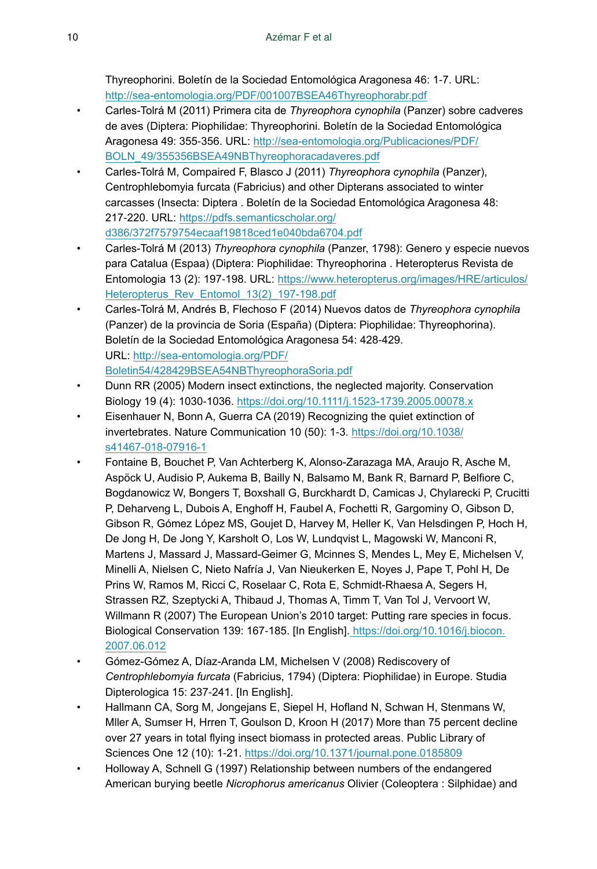Thyreophorini. Boletín de la Sociedad Entomológica Aragonesa 46: 1‑7. URL: <http://sea-entomologia.org/PDF/001007BSEA46Thyreophorabr.pdf>

- Carles-Tolrá M (2011) Primera cita de *Thyreophora cynophila* (Panzer) sobre cadveres de aves (Diptera: Piophilidae: Thyreophorini. Boletín de la Sociedad Entomológica Aragonesa 49: 355‑356. URL: [http://sea-entomologia.org/Publicaciones/PDF/](http://sea-entomologia.org/Publicaciones/PDF/BOLN_49/355356BSEA49NBThyreophoracadaveres.pdf) [BOLN\\_49/355356BSEA49NBThyreophoracadaveres.pdf](http://sea-entomologia.org/Publicaciones/PDF/BOLN_49/355356BSEA49NBThyreophoracadaveres.pdf)
- Carles-Tolrá M, Compaired F, Blasco J (2011) *Thyreophora cynophila* (Panzer), Centrophlebomyia furcata (Fabricius) and other Dipterans associated to winter carcasses (Insecta: Diptera . Boletín de la Sociedad Entomológica Aragonesa 48: 217‑220. URL: [https://pdfs.semanticscholar.org/](https://pdfs.semanticscholar.org/d386/372f7579754ecaaf19818ced1e040bda6704.pdf) [d386/372f7579754ecaaf19818ced1e040bda6704.pdf](https://pdfs.semanticscholar.org/d386/372f7579754ecaaf19818ced1e040bda6704.pdf)
- Carles-Tolrá M (2013) *Thyreophora cynophila* (Panzer, 1798): Genero y especie nuevos para Catalua (Espaa) (Diptera: Piophilidae: Thyreophorina . Heteropterus Revista de Entomologia 13 (2): 197-198. URL: [https://www.heteropterus.org/images/HRE/articulos/](https://www.heteropterus.org/images/HRE/articulos/Heteropterus_Rev_Entomol_13(2)_197-198.pdf) Heteropterus Rev Entomol 13(2) 197-198.pdf
- Carles-Tolrá M, Andrés B, Flechoso F (2014) Nuevos datos de *Thyreophora cynophila* (Panzer) de la provincia de Soria (España) (Diptera: Piophilidae: Thyreophorina). Boletín de la Sociedad Entomológica Aragonesa 54: 428‑429. URL: [http://sea-entomologia.org/PDF/](http://sea-entomologia.org/PDF/Boletin54/428429BSEA54NBThyreophoraSoria.pdf) [Boletin54/428429BSEA54NBThyreophoraSoria.pdf](http://sea-entomologia.org/PDF/Boletin54/428429BSEA54NBThyreophoraSoria.pdf)
- Dunn RR (2005) Modern insect extinctions, the neglected majority. Conservation Biology 19 (4): 1030‑1036. <https://doi.org/10.1111/j.1523-1739.2005.00078.x>
- Eisenhauer N, Bonn A, Guerra CA (2019) Recognizing the quiet extinction of invertebrates. Nature Communication 10 (50): 1‑3. [https://doi.org/10.1038/](https://doi.org/10.1038/s41467-018-07916-1) [s41467-018-07916-1](https://doi.org/10.1038/s41467-018-07916-1)
- Fontaine B, Bouchet P, Van Achterberg K, Alonso-Zarazaga MA, Araujo R, Asche M, Aspöck U, Audisio P, Aukema B, Bailly N, Balsamo M, Bank R, Barnard P, Belfiore C, Bogdanowicz W, Bongers T, Boxshall G, Burckhardt D, Camicas J, Chylarecki P, Crucitti P, Deharveng L, Dubois A, Enghoff H, Faubel A, Fochetti R, Gargominy O, Gibson D, Gibson R, Gómez López MS, Goujet D, Harvey M, Heller K, Van Helsdingen P, Hoch H, De Jong H, De Jong Y, Karsholt O, Los W, Lundqvist L, Magowski W, Manconi R, Martens J, Massard J, Massard-Geimer G, Mcinnes S, Mendes L, Mey E, Michelsen V, Minelli A, Nielsen C, Nieto Nafría J, Van Nieukerken E, Noyes J, Pape T, Pohl H, De Prins W, Ramos M, Ricci C, Roselaar C, Rota E, Schmidt-Rhaesa A, Segers H, Strassen RZ, Szeptycki A, Thibaud J, Thomas A, Timm T, Van Tol J, Vervoort W, Willmann R (2007) The European Union's 2010 target: Putting rare species in focus. Biological Conservation 139: 167‑185. [In English]. [https://doi.org/10.1016/j.biocon.](https://doi.org/10.1016/j.biocon.2007.06.012) [2007.06.012](https://doi.org/10.1016/j.biocon.2007.06.012)
- Gómez-Gómez A, Díaz-Aranda LM, Michelsen V (2008) Rediscovery of *Centrophlebomyia furcata* (Fabricius, 1794) (Diptera: Piophilidae) in Europe. Studia Dipterologica 15: 237‑241. [In English].
- Hallmann CA, Sorg M, Jongejans E, Siepel H, Hofland N, Schwan H, Stenmans W, Mller A, Sumser H, Hrren T, Goulson D, Kroon H (2017) More than 75 percent decline over 27 years in total flying insect biomass in protected areas. Public Library of Sciences One 12 (10): 1-21. <https://doi.org/10.1371/journal.pone.0185809>
- Holloway A, Schnell G (1997) Relationship between numbers of the endangered American burying beetle *Nicrophorus americanus* Olivier (Coleoptera : Silphidae) and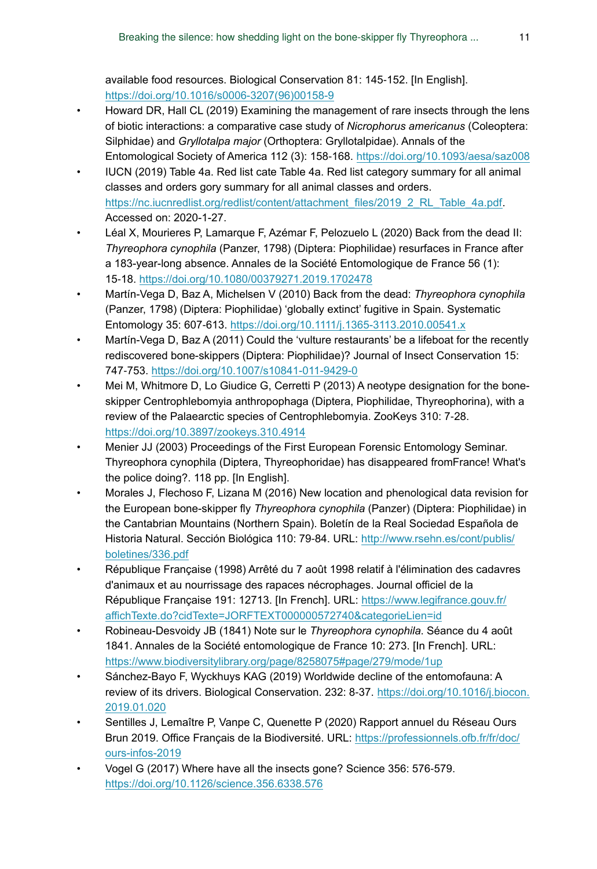available food resources. Biological Conservation 81: 145‑152. [In English]. [https://doi.org/10.1016/s0006-3207\(96\)00158-9](https://doi.org/10.1016/s0006-3207(96)00158-9)

- Howard DR, Hall CL (2019) Examining the management of rare insects through the lens of biotic interactions: a comparative case study of *Nicrophorus americanus* (Coleoptera: Silphidae) and *Gryllotalpa major* (Orthoptera: Gryllotalpidae). Annals of the Entomological Society of America 112 (3): 158‑168. <https://doi.org/10.1093/aesa/saz008>
- IUCN (2019) Table 4a. Red list cate Table 4a. Red list category summary for all animal classes and orders gory summary for all animal classes and orders. [https://nc.iucnredlist.org/redlist/content/attachment\\_files/2019\\_2\\_RL\\_Table\\_4a.pdf](https://nc.iucnredlist.org/redlist/content/attachment_files/2019_2_RL_Table_4a.pdf). Accessed on: 2020-1-27.
- Léal X, Mourieres P, Lamarque F, Azémar F, Pelozuelo L (2020) Back from the dead II: *Thyreophora cynophila* (Panzer, 1798) (Diptera: Piophilidae) resurfaces in France after a 183-year-long absence. Annales de la Société Entomologique de France 56 (1): 15‑18.<https://doi.org/10.1080/00379271.2019.1702478>
- Martín-Vega D, Baz A, Michelsen V (2010) Back from the dead: *Thyreophora cynophila* (Panzer, 1798) (Diptera: Piophilidae) 'globally extinct' fugitive in Spain. Systematic Entomology 35: 607‑613.<https://doi.org/10.1111/j.1365-3113.2010.00541.x>
- Martín-Vega D, Baz A (2011) Could the 'vulture restaurants' be a lifeboat for the recently rediscovered bone-skippers (Diptera: Piophilidae)? Journal of Insect Conservation 15: 747‑753. <https://doi.org/10.1007/s10841-011-9429-0>
- Mei M, Whitmore D, Lo Giudice G, Cerretti P (2013) A neotype designation for the boneskipper Centrophlebomyia anthropophaga (Diptera, Piophilidae, Thyreophorina), with a review of the Palaearctic species of Centrophlebomyia. ZooKeys 310: 7‑28. <https://doi.org/10.3897/zookeys.310.4914>
- Menier JJ (2003) Proceedings of the First European Forensic Entomology Seminar. Thyreophora cynophila (Diptera, Thyreophoridae) has disappeared fromFrance! What's the police doing?. 118 pp. [In English].
- Morales J, Flechoso F, Lizana M (2016) New location and phenological data revision for the European bone-skipper fly *Thyreophora cynophila* (Panzer) (Diptera: Piophilidae) in the Cantabrian Mountains (Northern Spain). Boletín de la Real Sociedad Española de Historia Natural. Sección Biológica 110: 79-84. URL: [http://www.rsehn.es/cont/publis/](http://www.rsehn.es/cont/publis/boletines/336.pdf) [boletines/336.pdf](http://www.rsehn.es/cont/publis/boletines/336.pdf)
- République Française (1998) Arrêté du 7 août 1998 relatif à l'élimination des cadavres d'animaux et au nourrissage des rapaces nécrophages. Journal officiel de la République Française 191: 12713. [In French]. URL: [https://www.legifrance.gouv.fr/](https://www.legifrance.gouv.fr/affichTexte.do?cidTexte=JORFTEXT000000572740&categorieLien=id) [affichTexte.do?cidTexte=JORFTEXT000000572740&categorieLien=id](https://www.legifrance.gouv.fr/affichTexte.do?cidTexte=JORFTEXT000000572740&categorieLien=id)
- Robineau-Desvoidy JB (1841) Note sur le *Thyreophora cynophila*. Séance du 4 août 1841. Annales de la Société entomologique de France 10: 273. [In French]. URL: <https://www.biodiversitylibrary.org/page/8258075#page/279/mode/1up>
- Sánchez-Bayo F, Wyckhuys KAG (2019) Worldwide decline of the entomofauna: A review of its drivers. Biological Conservation. 232: 8‑37. [https://doi.org/10.1016/j.biocon.](https://doi.org/10.1016/j.biocon.2019.01.020) [2019.01.020](https://doi.org/10.1016/j.biocon.2019.01.020)
- Sentilles J, Lemaître P, Vanpe C, Quenette P (2020) Rapport annuel du Réseau Ours Brun 2019. Office Français de la Biodiversité. URL: [https://professionnels.ofb.fr/fr/doc/](https://professionnels.ofb.fr/fr/doc/ours-infos-2019) [ours-infos-2019](https://professionnels.ofb.fr/fr/doc/ours-infos-2019)
- Vogel G (2017) Where have all the insects gone? Science 356: 576‑579. <https://doi.org/10.1126/science.356.6338.576>